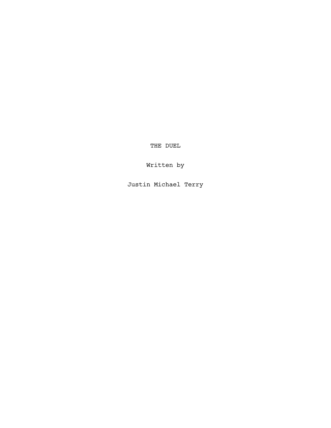THE DUEL

Written by

Justin Michael Terry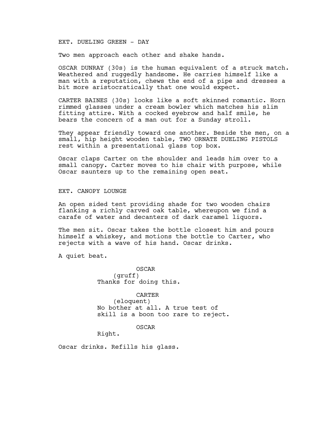### EXT. DUELING GREEN - DAY

Two men approach each other and shake hands.

OSCAR DUNRAY (30s) is the human equivalent of a struck match. Weathered and ruggedly handsome. He carries himself like a man with a reputation, chews the end of a pipe and dresses a bit more aristocratically that one would expect.

CARTER BAINES (30s) looks like a soft skinned romantic. Horn rimmed glasses under a cream bowler which matches his slim fitting attire. With a cocked eyebrow and half smile, he bears the concern of a man out for a Sunday stroll.

They appear friendly toward one another. Beside the men, on a small, hip height wooden table, TWO ORNATE DUELING PISTOLS rest within a presentational glass top box.

Oscar claps Carter on the shoulder and leads him over to a small canopy. Carter moves to his chair with purpose, while Oscar saunters up to the remaining open seat.

EXT. CANOPY LOUNGE

An open sided tent providing shade for two wooden chairs flanking a richly carved oak table, whereupon we find a carafe of water and decanters of dark caramel liquors.

The men sit. Oscar takes the bottle closest him and pours himself a whiskey, and motions the bottle to Carter, who rejects with a wave of his hand. Oscar drinks.

A quiet beat.

OSCAR (gruff) Thanks for doing this.

CARTER (eloquent) No bother at all. A true test of skill is a boon too rare to reject.

OSCAR

Right.

Oscar drinks. Refills his glass.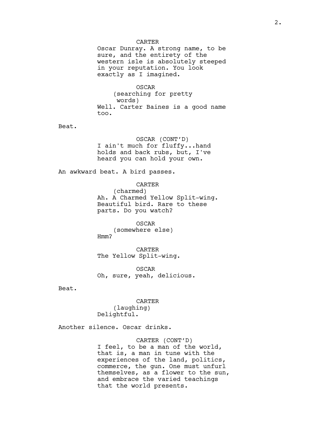#### CARTER

Oscar Dunray. A strong name, to be sure, and the entirety of the western isle is absolutely steeped in your reputation. You look exactly as I imagined.

OSCAR (searching for pretty words) Well. Carter Baines is a good name too.

Beat.

OSCAR (CONT'D) I ain't much for fluffy...hand holds and back rubs, but, I've heard you can hold your own.

An awkward beat. A bird passes.

CARTER (charmed) Ah. A Charmed Yellow Split-wing. Beautiful bird. Rare to these parts. Do you watch?

OSCAR (somewhere else) Hmm?

CARTER The Yellow Split-wing.

OSCAR Oh, sure, yeah, delicious.

Beat.

CARTER (laughing) Delightful.

Another silence. Oscar drinks.

CARTER (CONT'D) I feel, to be a man of the world, that is, a man in tune with the experiences of the land, politics, commerce, the gun. One must unfurl themselves, as a flower to the sun, and embrace the varied teachings that the world presents.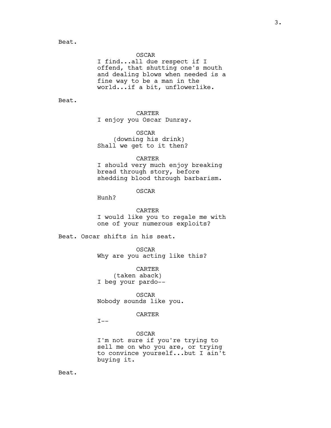OSCAR

I find...all due respect if I offend, that shutting one's mouth and dealing blows when needed is a fine way to be a man in the world...if a bit, unflowerlike.

Beat.

## CARTER

I enjoy you Oscar Dunray.

OSCAR (downing his drink) Shall we get to it then?

#### CARTER

I should very much enjoy breaking bread through story, before shedding blood through barbarism.

## OSCAR

Hunh?

CARTER I would like you to regale me with one of your numerous exploits?

Beat. Oscar shifts in his seat.

OSCAR Why are you acting like this?

CARTER (taken aback) I beg your pardo--

OSCAR Nobody sounds like you.

## CARTER

 $I--$ 

OSCAR I'm not sure if you're trying to sell me on who you are, or trying to convince yourself...but I ain't buying it.

Beat.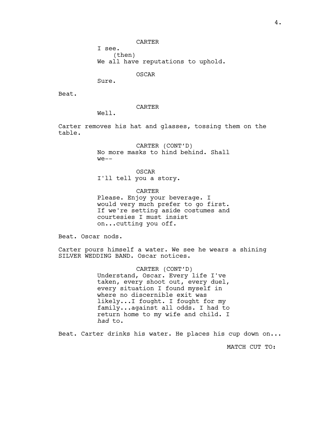CARTER

I see.

(then)

We all have reputations to uphold.

OSCAR

Sure.

Beat.

CARTER

Well.

Carter removes his hat and glasses, tossing them on the table.

> CARTER (CONT'D) No more masks to hind behind. Shall  $we --$

OSCAR I'll tell you a story.

CARTER Please. Enjoy your beverage. I would very much prefer to go first. If we're setting aside costumes and courtesies I must insist on...cutting you off.

Beat. Oscar nods.

Carter pours himself a water. We see he wears a shining SILVER WEDDING BAND. Oscar notices.

> CARTER (CONT'D) Understand, Oscar. Every life I've taken, every shoot out, every duel, every situation I found myself in where no discernible exit was likely...I fought. I fought for my family...against all odds. I had to return home to my wife and child. I had to.

Beat. Carter drinks his water. He places his cup down on...

MATCH CUT TO: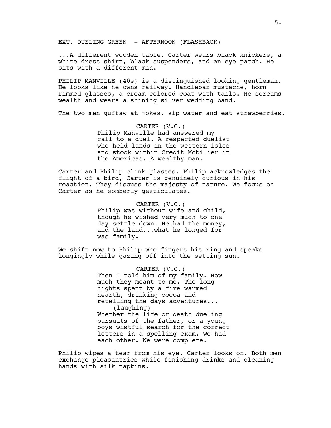EXT. DUELING GREEN - AFTERNOON (FLASHBACK)

...A different wooden table. Carter wears black knickers, a white dress shirt, black suspenders, and an eye patch. He sits with a different man.

PHILIP MANVILLE (40s) is a distinguished looking gentleman. He looks like he owns railway. Handlebar mustache, horn rimmed glasses, a cream colored coat with tails. He screams wealth and wears a shining silver wedding band.

The two men quffaw at jokes, sip water and eat strawberries.

CARTER (V.O.) Philip Manville had answered my call to a duel. A respected duelist who held lands in the western isles and stock within Credit Mobilier in the Americas. A wealthy man.

Carter and Philip clink glasses. Philip acknowledges the flight of a bird, Carter is genuinely curious in his reaction. They discuss the majesty of nature. We focus on Carter as he somberly gesticulates.

> CARTER (V.O.) Philip was without wife and child, though he wished very much to one day settle down. He had the money, and the land...what he longed for was family.

We shift now to Philip who fingers his ring and speaks longingly while gazing off into the setting sun.

> CARTER (V.O.) Then I told him of my family. How much they meant to me. The long nights spent by a fire warmed hearth, drinking cocoa and retelling the days adventures... (laughing) Whether the life or death dueling pursuits of the father, or a young boys wistful search for the correct letters in a spelling exam. We had each other. We were complete.

Philip wipes a tear from his eye. Carter looks on. Both men exchange pleasantries while finishing drinks and cleaning hands with silk napkins.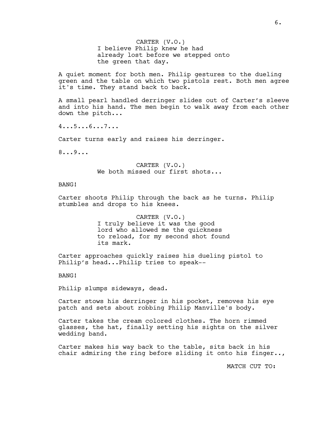CARTER (V.O.) I believe Philip knew he had already lost before we stepped onto the green that day.

A quiet moment for both men. Philip gestures to the dueling green and the table on which two pistols rest. Both men agree it's time. They stand back to back.

A small pearl handled derringer slides out of Carter's sleeve and into his hand. The men begin to walk away from each other down the pitch...

4...5...6...7...

Carter turns early and raises his derringer.

8...9...

CARTER (V.O.) We both missed our first shots...

# BANG!

Carter shoots Philip through the back as he turns. Philip stumbles and drops to his knees.

> CARTER (V.O.) I truly believe it was the good lord who allowed me the quickness to reload, for my second shot found its mark.

Carter approaches quickly raises his dueling pistol to Philip's head...Philip tries to speak--

BANG!

Philip slumps sideways, dead.

Carter stows his derringer in his pocket, removes his eye patch and sets about robbing Philip Manville's body.

Carter takes the cream colored clothes. The horn rimmed glasses, the hat, finally setting his sights on the silver wedding band.

Carter makes his way back to the table, sits back in his chair admiring the ring before sliding it onto his finger..,

MATCH CUT TO: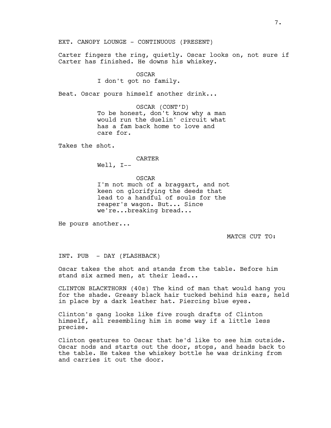EXT. CANOPY LOUNGE - CONTINUOUS (PRESENT)

Carter fingers the ring, quietly. Oscar looks on, not sure if Carter has finished. He downs his whiskey.

#### OSCAR

I don't got no family.

Beat. Oscar pours himself another drink...

OSCAR (CONT'D) To be honest, don't know why a man would run the duelin' circuit what has a fam back home to love and care for.

Takes the shot.

#### CARTER

Well, I--

OSCAR I'm not much of a braggart, and not keen on glorifying the deeds that lead to a handful of souls for the reaper's wagon. But... Since we're...breaking bread...

He pours another...

MATCH CUT TO:

INT. PUB - DAY (FLASHBACK)

Oscar takes the shot and stands from the table. Before him stand six armed men, at their lead...

CLINTON BLACKTHORN (40s) The kind of man that would hang you for the shade. Greasy black hair tucked behind his ears, held in place by a dark leather hat. Piercing blue eyes.

Clinton's gang looks like five rough drafts of Clinton himself, all resembling him in some way if a little less precise.

Clinton gestures to Oscar that he'd like to see him outside. Oscar nods and starts out the door, stops, and heads back to the table. He takes the whiskey bottle he was drinking from and carries it out the door.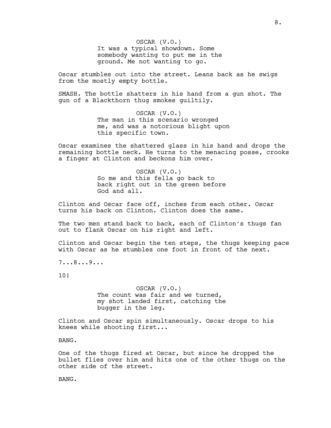OSCAR (V.O.) It was a typical showdown. Some somebody wanting to put me in the ground. Me not wanting to go.

Oscar stumbles out into the street. Leans back as he swigs from the mostly empty bottle.

SMASH. The bottle shatters in his hand from a gun shot. The gun of a Blackthorn thug smokes guiltily.

> OSCAR (V.O.) The man in this scenario wronged me, and was a notorious blight upon this specific town.

Oscar examines the shattered glass in his hand and drops the remaining bottle neck. He turns to the menacing posse, crooks a finger at Clinton and beckons him over.

> OSCAR (V.O.) So me and this fella go back to back right out in the green before God and all.

Clinton and Oscar face off, inches from each other. Oscar turns his back on Clinton. Clinton does the same.

The two men stand back to back, each of Clinton's thugs fan out to flank Oscar on his right and left.

Clinton and Oscar begin the ten steps, the thugs keeping pace with Oscar as he stumbles one foot in front of the next.

7...8...9...

10!

OSCAR (V.O.) The count was fair and we turned, my shot landed first, catching the bugger in the leg.

Clinton and Oscar spin simultaneously. Oscar drops to his knees while shooting first...

BANG.

One of the thugs fired at Oscar, but since he dropped the bullet flies over him and hits one of the other thugs on the other side of the street.

BANG.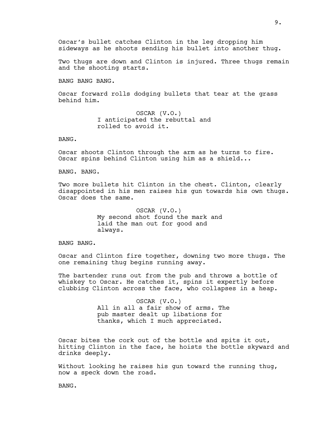Oscar's bullet catches Clinton in the leg dropping him sideways as he shoots sending his bullet into another thug.

Two thugs are down and Clinton is injured. Three thugs remain and the shooting starts.

BANG BANG BANG.

Oscar forward rolls dodging bullets that tear at the grass behind him.

> OSCAR (V.O.) I anticipated the rebuttal and rolled to avoid it.

BANG.

Oscar shoots Clinton through the arm as he turns to fire. Oscar spins behind Clinton using him as a shield...

BANG. BANG.

Two more bullets hit Clinton in the chest. Clinton, clearly disappointed in his men raises his gun towards his own thugs. Oscar does the same.

> OSCAR (V.O.) My second shot found the mark and laid the man out for good and always.

BANG BANG.

Oscar and Clinton fire together, downing two more thugs. The one remaining thug begins running away.

The bartender runs out from the pub and throws a bottle of whiskey to Oscar. He catches it, spins it expertly before clubbing Clinton across the face, who collapses in a heap.

> OSCAR (V.O.) All in all a fair show of arms. The pub master dealt up libations for thanks, which I much appreciated.

Oscar bites the cork out of the bottle and spits it out, hitting Clinton in the face, he hoists the bottle skyward and drinks deeply.

Without looking he raises his gun toward the running thug, now a speck down the road.

BANG.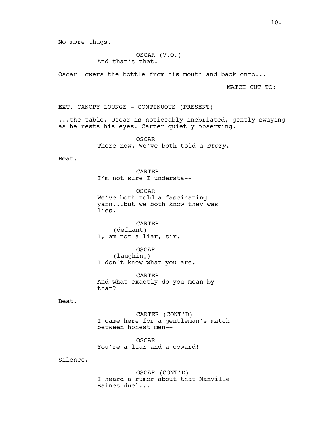No more thugs.

OSCAR (V.O.) And that's that.

Oscar lowers the bottle from his mouth and back onto...

MATCH CUT TO:

EXT. CANOPY LOUNGE - CONTINUOUS (PRESENT)

...the table. Oscar is noticeably inebriated, gently swaying as he rests his eyes. Carter quietly observing.

> OSCAR There now. We've both told a story.

Beat.

CARTER I'm not sure I understa--

OSCAR We've both told a fascinating yarn...but we both know they was lies.

CARTER (defiant) I, am not a liar, sir.

OSCAR (laughing) I don't know what you are.

CARTER And what exactly do you mean by that?

Beat.

CARTER (CONT'D) I came here for a gentleman's match between honest men--

OSCAR You're a liar and a coward!

Silence.

OSCAR (CONT'D) I heard a rumor about that Manville Baines duel...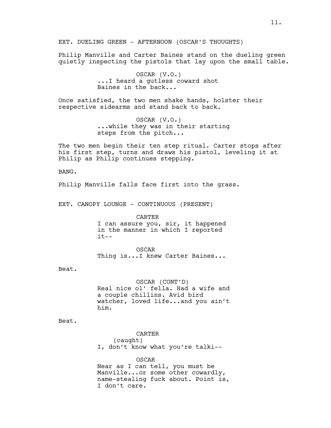Philip Manville and Carter Baines stand on the dueling green quietly inspecting the pistols that lay upon the small table.

> OSCAR (V.O.) ...I heard a gutless coward shot Baines in the back...

Once satisfied, the two men shake hands, holster their respective sidearms and stand back to back.

> OSCAR (V.O.) ...while they was in their starting steps from the pitch...

The two men begin their ten step ritual. Carter stops after his first step, turns and draws his pistol, leveling it at Philip as Philip continues stepping.

BANG.

Philip Manville falls face first into the grass.

EXT. CANOPY LOUNGE - CONTINUOUS (PRESENT)

CARTER I can assure you, sir, it happened in the manner in which I reported  $it--$ 

OSCAR Thing is...I knew Carter Baines...

Beat.

OSCAR (CONT'D) Real nice ol' fella. Had a wife and a couple chillins. Avid bird watcher, loved life...and you ain't him.

Beat.

CARTER (caught) I, don't know what you're talki--

OSCAR Near as I can tell, you must be Manville...or some other cowardly, name-stealing fuck about. Point is, I don't care.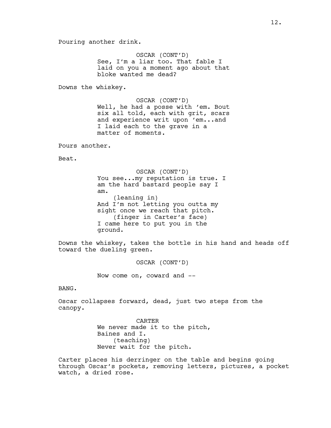Pouring another drink.

OSCAR (CONT'D) See, I'm a liar too. That fable I laid on you a moment ago about that bloke wanted me dead?

Downs the whiskey.

OSCAR (CONT'D) Well, he had a posse with 'em. Bout six all told, each with grit, scars and experience writ upon 'em...and I laid each to the grave in a matter of moments.

Pours another.

Beat.

OSCAR (CONT'D) You see...my reputation is true. I am the hard bastard people say I am. (leaning in) And I'm not letting you outta my sight once we reach that pitch. (finger in Carter's face) I came here to put you in the ground.

Downs the whiskey, takes the bottle in his hand and heads off toward the dueling green.

OSCAR (CONT'D)

Now come on, coward and --

BANG.

Oscar collapses forward, dead, just two steps from the canopy.

> CARTER We never made it to the pitch, Baines and I. (teaching) Never wait for the pitch.

Carter places his derringer on the table and begins going through Oscar's pockets, removing letters, pictures, a pocket watch, a dried rose.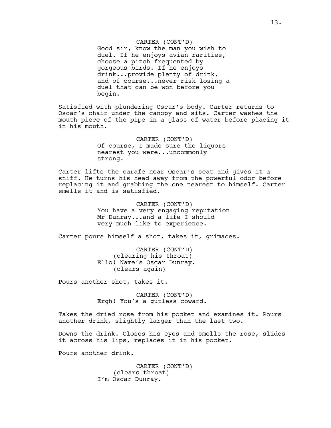CARTER (CONT'D) Good sir, know the man you wish to duel. If he enjoys avian rarities, choose a pitch frequented by gorgeous birds. If he enjoys drink...provide plenty of drink, and of course...never risk losing a duel that can be won before you begin.

Satisfied with plundering Oscar's body. Carter returns to Oscar's chair under the canopy and sits. Carter washes the mouth piece of the pipe in a glass of water before placing it in his mouth.

> CARTER (CONT'D) Of course, I made sure the liquors nearest you were...uncommonly strong.

Carter lifts the carafe near Oscar's seat and gives it a sniff. He turns his head away from the powerful odor before replacing it and grabbing the one nearest to himself. Carter smells it and is satisfied.

> CARTER (CONT'D) You have a very engaging reputation Mr Dunray...and a life I should very much like to experience.

Carter pours himself a shot, takes it, grimaces.

CARTER (CONT'D) (clearing his throat) Ello! Name's Oscar Dunray. (clears again)

Pours another shot, takes it.

CARTER (CONT'D) Ergh! You's a gutless coward.

Takes the dried rose from his pocket and examines it. Pours another drink, slightly larger than the last two.

Downs the drink. Closes his eyes and smells the rose, slides it across his lips, replaces it in his pocket.

Pours another drink.

CARTER (CONT'D) (clears throat) I'm Oscar Dunray.